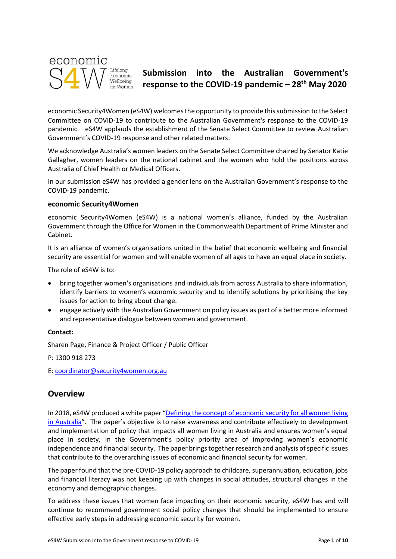

# **Submission into the Australian Government's response to the COVID-19 pandemic – 28th May 2020**

economic Security4Women (eS4W) welcomes the opportunity to provide this submission to the Select Committee on COVID-19 to contribute to the Australian Government's response to the COVID-19 pandemic. eS4W applauds the establishment of the Senate Select Committee to review Australian Government's COVID-19 response and other related matters.

We acknowledge Australia's women leaders on the Senate Select Committee chaired by Senator Katie Gallagher, women leaders on the national cabinet and the women who hold the positions across Australia of Chief Health or Medical Officers.

In our submission eS4W has provided a gender lens on the Australian Government's response to the COVID-19 pandemic.

### **economic Security4Women**

economic Security4Women (eS4W) is a national women's alliance, funded by the Australian Government through the Office for Women in the Commonwealth Department of Prime Minister and Cabinet.

It is an alliance of women's organisations united in the belief that economic wellbeing and financial security are essential for women and will enable women of all ages to have an equal place in society.

The role of eS4W is to:

- bring together women's organisations and individuals from across Australia to share information, identify barriers to women's economic security and to identify solutions by prioritising the key issues for action to bring about change.
- engage actively with the Australian Government on policy issues as part of a better more informed and representative dialogue between women and government.

### **Contact:**

Sharen Page, Finance & Project Officer / Public Officer

P: 1300 918 273

E: [coordinator@security4women.org.au](mailto:coordinator@security4women.org.au)

### **Overview**

In 2018, eS4W produced a white paper "[Defining the concept of economic security for all women living](https://www.security4women.org.au/wp-content/uploads/20180625-eS4W_White-Paper_Defining-the-Concept-of-Economic-Security-for-Women.pdf)  [in Australia](https://www.security4women.org.au/wp-content/uploads/20180625-eS4W_White-Paper_Defining-the-Concept-of-Economic-Security-for-Women.pdf)". The paper's objective is to raise awareness and contribute effectively to development and implementation of policy that impacts all women living in Australia and ensures women's equal place in society, in the Government's policy priority area of improving women's economic independence and financial security. The paper brings together research and analysis of specific issues that contribute to the overarching issues of economic and financial security for women.

The paper found that the pre-COVID-19 policy approach to childcare, superannuation, education, jobs and financial literacy was not keeping up with changes in social attitudes, structural changes in the economy and demographic changes.

To address these issues that women face impacting on their economic security, eS4W has and will continue to recommend government social policy changes that should be implemented to ensure effective early steps in addressing economic security for women.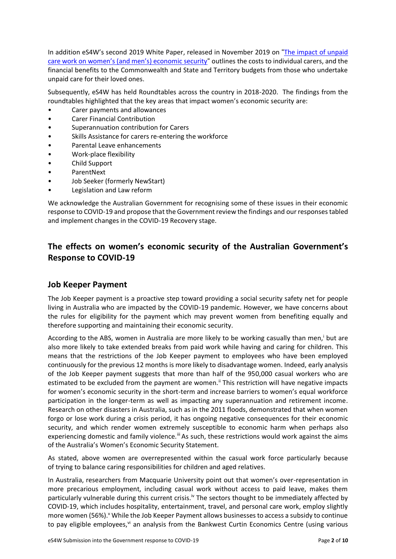In addition eS4W's second 2019 White Paper, released in November 2019 on "[The impact of unpaid](https://www.security4women.org.au/wp-content/uploads/eS4W-White-Paper-Carer-Economy_20191101.pdf)  [care work on women's \(and men's\) economic security](https://www.security4women.org.au/wp-content/uploads/eS4W-White-Paper-Carer-Economy_20191101.pdf)" outlines the costs to individual carers, and the financial benefits to the Commonwealth and State and Territory budgets from those who undertake unpaid care for their loved ones.

Subsequently, eS4W has held Roundtables across the country in 2018-2020. The findings from the roundtables highlighted that the key areas that impact women's economic security are:

- Carer payments and allowances
- Carer Financial Contribution
- Superannuation contribution for Carers
- Skills Assistance for carers re-entering the workforce
- Parental Leave enhancements
- Work-place flexibility
- Child Support
- ParentNext
- Job Seeker (formerly NewStart)
- Legislation and Law reform

We acknowledge the Australian Government for recognising some of these issues in their economic response to COVID-19 and propose that the Government review the findings and our responses tabled and implement changes in the COVID-19 Recovery stage.

# **The effects on women's economic security of the Australian Government's Response to COVID-19**

## **Job Keeper Payment**

The Job Keeper payment is a proactive step toward providing a social security safety net for people living in Australia who are impacted by the COVID-19 pandemic. However, we have concerns about the rules for eligibility for the payment which may prevent women from benefiting equally and therefore supporting and maintaining their economic security.

According to the ABS, women in Australia are more likely to be working casually than men, but are also more likely to take extended breaks from paid work while having and caring for children. This means that the restrictions of the Job Keeper payment to employees who have been employed continuously for the previous 12 months is more likely to disadvantage women. Indeed, early analysis of the Job Keeper payment suggests that more than half of the 950,000 casual workers who are estimated to be excluded from the payment are women.<sup>ii</sup> This restriction will have negative impacts for women's economic security in the short-term and increase barriers to women's equal workforce participation in the longer-term as well as impacting any superannuation and retirement income. Research on other disasters in Australia, such as in the 2011 floods, demonstrated that when women forgo or lose work during a crisis period, it has ongoing negative consequences for their economic security, and which render women extremely susceptible to economic harm when perhaps also experiencing domestic and family violence.<sup>iii</sup> As such, these restrictions would work against the aims of the Australia's Women's Economic Security Statement.

As stated, above women are overrepresented within the casual work force particularly because of trying to balance caring responsibilities for children and aged relatives.

In Australia, researchers from Macquarie University point out that women's over-representation in more precarious employment, including casual work without access to paid leave, makes them particularly vulnerable during this current crisis.<sup>iv</sup> The sectors thought to be immediately affected by COVID-19, which includes hospitality, entertainment, travel, and personal care work, employ slightly more women (56%). <sup>V</sup> While the Job Keeper Payment allows businesses to access a subsidy to continue to pay eligible employees, vi an analysis from the Bankwest Curtin Economics Centre (using various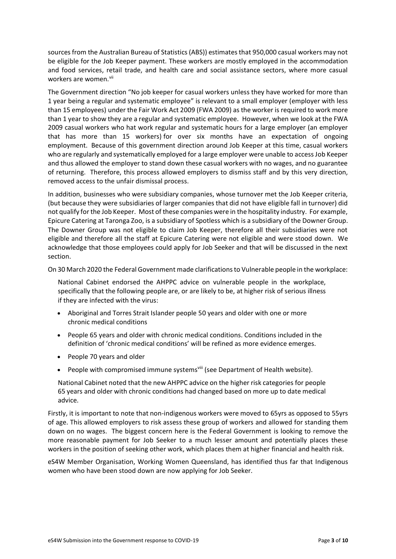sources from the Australian Bureau of Statistics (ABS)) estimates that 950,000 casual workers may not be eligible for the Job Keeper payment. These workers are mostly employed in the accommodation and food services, retail trade, and health care and social assistance sectors, where more casual workers are women.<sup>vii</sup>

The Government direction "No job keeper for casual workers unless they have worked for more than 1 year being a regular and systematic employee" is relevant to a small employer (employer with less than 15 employees) under the Fair Work Act 2009 (FWA 2009) as the worker is required to work more than 1 year to show they are a regular and systematic employee. However, when we look at the FWA 2009 casual workers who hat work regular and systematic hours for a large employer (an employer that has more than 15 workers) for over six months have an expectation of ongoing employment. Because of this government direction around Job Keeper at this time, casual workers who are regularly and systematically employed for a large employer were unable to access Job Keeper and thus allowed the employer to stand down these casual workers with no wages, and no guarantee of returning. Therefore, this process allowed employers to dismiss staff and by this very direction, removed access to the unfair dismissal process.

In addition, businesses who were subsidiary companies, whose turnover met the Job Keeper criteria, (but because they were subsidiaries of larger companies that did not have eligible fall in turnover) did not qualify for the Job Keeper. Most of these companies were in the hospitality industry. For example, Epicure Catering at Taronga Zoo, is a subsidiary of Spotless which is a subsidiary of the Downer Group. The Downer Group was not eligible to claim Job Keeper, therefore all their subsidiaries were not eligible and therefore all the staff at Epicure Catering were not eligible and were stood down. We acknowledge that those employees could apply for Job Seeker and that will be discussed in the next section.

On 30 March 2020 the Federal Government made clarifications to Vulnerable people in the workplace:

National Cabinet endorsed the AHPPC advice on vulnerable people in the workplace, specifically that the following people are, or are likely to be, at higher risk of serious illness if they are infected with the virus:

- Aboriginal and Torres Strait Islander people 50 years and older with one or more chronic medical conditions
- People 65 years and older with chronic medical conditions. Conditions included in the definition of 'chronic medical conditions' will be refined as more evidence emerges.
- People 70 years and older
- People with compromised immune systems<sup>viii</sup> (see Department of Health website).

National Cabinet noted that the new AHPPC advice on the higher risk categories for people 65 years and older with chronic conditions had changed based on more up to date medical advice.

Firstly, it is important to note that non-indigenous workers were moved to 65yrs as opposed to 55yrs of age. This allowed employers to risk assess these group of workers and allowed for standing them down on no wages. The biggest concern here is the Federal Government is looking to remove the more reasonable payment for Job Seeker to a much lesser amount and potentially places these workers in the position of seeking other work, which places them at higher financial and health risk.

eS4W Member Organisation, Working Women Queensland, has identified thus far that Indigenous women who have been stood down are now applying for Job Seeker.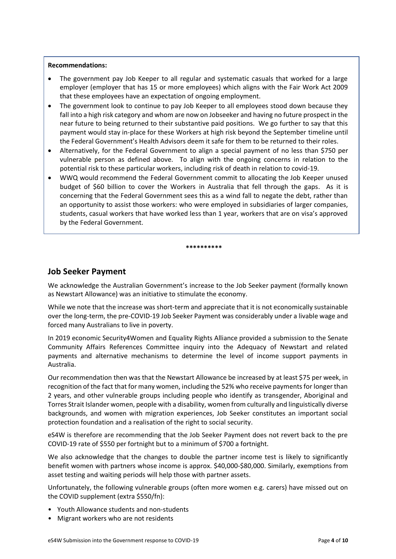### **Recommendations:**

- The government pay Job Keeper to all regular and systematic casuals that worked for a large employer (employer that has 15 or more employees) which aligns with the Fair Work Act 2009 that these employees have an expectation of ongoing employment.
- The government look to continue to pay Job Keeper to all employees stood down because they fall into a high risk category and whom are now on Jobseeker and having no future prospect in the near future to being returned to their substantive paid positions. We go further to say that this payment would stay in-place for these Workers at high risk beyond the September timeline until the Federal Government's Health Advisors deem it safe for them to be returned to their roles.
- Alternatively, for the Federal Government to align a special payment of no less than \$750 per vulnerable person as defined above. To align with the ongoing concerns in relation to the potential risk to these particular workers, including risk of death in relation to covid-19.
- WWQ would recommend the Federal Government commit to allocating the Job Keeper unused budget of \$60 billion to cover the Workers in Australia that fell through the gaps. As it is concerning that the Federal Government sees this as a wind fall to negate the debt, rather than an opportunity to assist those workers: who were employed in subsidiaries of larger companies, students, casual workers that have worked less than 1 year, workers that are on visa's approved by the Federal Government.

# **Job Seeker Payment**

We acknowledge the Australian Government's increase to the Job Seeker payment (formally known as Newstart Allowance) was an initiative to stimulate the economy.

**\*\*\*\*\*\*\*\*\*\***

While we note that the increase was short-term and appreciate that it is not economically sustainable over the long-term, the pre-COVID-19 Job Seeker Payment was considerably under a livable wage and forced many Australians to live in poverty.

In 2019 economic Security4Women and Equality Rights Alliance provided a submission to the Senate Community Affairs References Committee inquiry into the Adequacy of Newstart and related payments and alternative mechanisms to determine the level of income support payments in Australia.

Our recommendation then was that the Newstart Allowance be increased by at least \$75 per week, in recognition of the fact that for many women, including the 52% who receive payments for longer than 2 years, and other vulnerable groups including people who identify as transgender, Aboriginal and Torres Strait Islander women, people with a disability, women from culturally and linguistically diverse backgrounds, and women with migration experiences, Job Seeker constitutes an important social protection foundation and a realisation of the right to social security.

eS4W is therefore are recommending that the Job Seeker Payment does not revert back to the pre COVID-19 rate of \$550 per fortnight but to a minimum of \$700 a fortnight.

We also acknowledge that the changes to double the partner income test is likely to significantly benefit women with partners whose income is approx. \$40,000-\$80,000. Similarly, exemptions from asset testing and waiting periods will help those with partner assets.

Unfortunately, the following vulnerable groups (often more women e.g. carers) have missed out on the COVID supplement (extra \$550/fn):

- Youth Allowance students and non-students
- Migrant workers who are not residents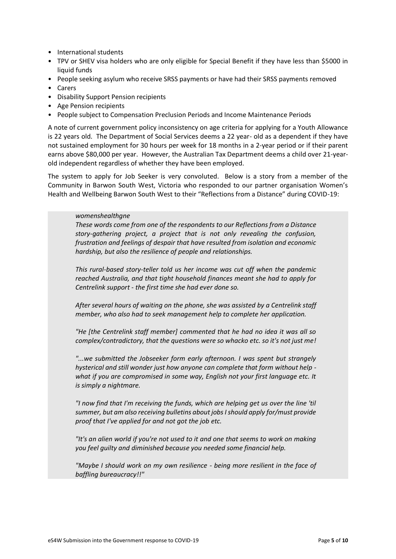- International students
- TPV or SHEV visa holders who are only eligible for Special Benefit if they have less than \$5000 in liquid funds
- People seeking asylum who receive SRSS payments or have had their SRSS payments removed
- Carers
- Disability Support Pension recipients
- Age Pension recipients
- People subject to Compensation Preclusion Periods and Income Maintenance Periods

A note of current government policy inconsistency on age criteria for applying for a Youth Allowance is 22 years old. The Department of Social Services deems a 22 year- old as a dependent if they have not sustained employment for 30 hours per week for 18 months in a 2-year period or if their parent earns above \$80,000 per year. However, the Australian Tax Department deems a child over 21-yearold independent regardless of whether they have been employed.

The system to apply for Job Seeker is very convoluted. Below is a story from a member of the Community in Barwon South West, Victoria who responded to our partner organisation Women's Health and Wellbeing Barwon South West to their "Reflections from a Distance" during COVID-19:

### *womenshealthgne*

*These words come from one of the respondents to our Reflections from a Distance story-gathering project, a project that is not only revealing the confusion, frustration and feelings of despair that have resulted from isolation and economic hardship, but also the resilience of people and relationships.*

*This rural-based story-teller told us her income was cut off when the pandemic reached Australia, and that tight household finances meant she had to apply for Centrelink support - the first time she had ever done so.*

*After several hours of waiting on the phone, she was assisted by a Centrelink staff member, who also had to seek management help to complete her application.*

*"He [the Centrelink staff member] commented that he had no idea it was all so complex/contradictory, that the questions were so whacko etc. so it's not just me!*

*"...we submitted the Jobseeker form early afternoon. I was spent but strangely hysterical and still wonder just how anyone can complete that form without help what if you are compromised in some way, English not your first language etc. It is simply a nightmare.*

*"I now find that I'm receiving the funds, which are helping get us over the line 'til summer, but am also receiving bulletins about jobs I should apply for/must provide proof that I've applied for and not got the job etc.*

*"It's an alien world if you're not used to it and one that seems to work on making you feel guilty and diminished because you needed some financial help.*

*"Maybe I should work on my own resilience - being more resilient in the face of baffling bureaucracy!!"*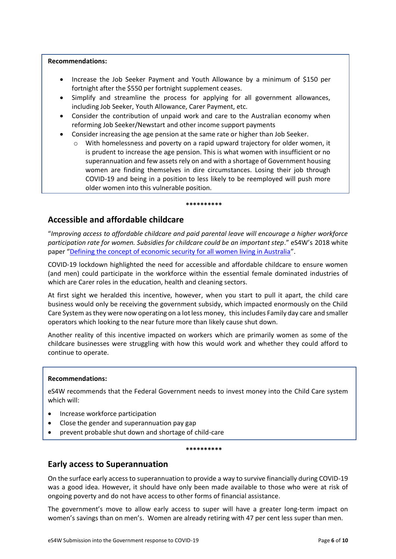### **Recommendations:**

- Increase the Job Seeker Payment and Youth Allowance by a minimum of \$150 per fortnight after the \$550 per fortnight supplement ceases.
- Simplify and streamline the process for applying for all government allowances, including Job Seeker, Youth Allowance, Carer Payment, etc.
- Consider the contribution of unpaid work and care to the Australian economy when reforming Job Seeker/Newstart and other income support payments
- Consider increasing the age pension at the same rate or higher than Job Seeker.
	- With homelessness and poverty on a rapid upward trajectory for older women, it is prudent to increase the age pension. This is what women with insufficient or no superannuation and few assets rely on and with a shortage of Government housing women are finding themselves in dire circumstances. Losing their job through COVID-19 and being in a position to less likely to be reemployed will push more older women into this vulnerable position.

#### **\*\*\*\*\*\*\*\*\*\***

# **Accessible and affordable childcare**

"*Improving access to affordable childcare and paid parental leave will encourage a higher workforce participation rate for women. Subsidies for childcare could be an important step*." eS4W's 2018 white paper "[Defining the concept of economic security for all women living in Australia](https://www.security4women.org.au/boosting-womens-economic-security/economic-security-defined-for-all-women/)".

COVID-19 lockdown highlighted the need for accessible and affordable childcare to ensure women (and men) could participate in the workforce within the essential female dominated industries of which are Carer roles in the education, health and cleaning sectors.

At first sight we heralded this incentive, however, when you start to pull it apart, the child care business would only be receiving the government subsidy, which impacted enormously on the Child Care System as they were now operating on a lot less money, this includes Family day care and smaller operators which looking to the near future more than likely cause shut down.

Another reality of this incentive impacted on workers which are primarily women as some of the childcare businesses were struggling with how this would work and whether they could afford to continue to operate.

#### **Recommendations:**

eS4W recommends that the Federal Government needs to invest money into the Child Care system which will:

- Increase workforce participation
- Close the gender and superannuation pay gap
- prevent probable shut down and shortage of child-care

#### **\*\*\*\*\*\*\*\*\*\***

### **Early access to Superannuation**

On the surface early access to superannuation to provide a way to survive financially during COVID-19 was a good idea. However, it should have only been made available to those who were at risk of ongoing poverty and do not have access to other forms of financial assistance.

The government's move to allow early access to super will have a greater long-term impact on women's savings than on men's. Women are already retiring with 47 per cent less super than men.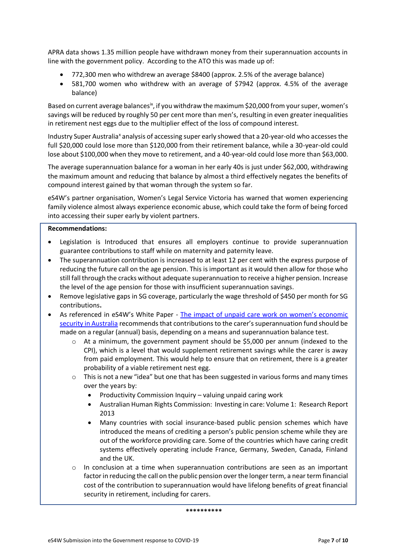APRA data shows 1.35 million people have withdrawn money from their superannuation accounts in line with the government policy. According to the ATO this was made up of:

- 772,300 men who withdrew an average \$8400 (approx. 2.5% of the average balance)
- 581,700 women who withdrew with an average of \$7942 (approx. 4.5% of the average balance)

Based on current average balances<sup>ix</sup>, if you withdraw the maximum \$20,000 from your super, women's savings will be reduced by roughly 50 per cent more than men's, resulting in even greater inequalities in retirement nest eggs due to the multiplier effect of the loss of compound interest.

Industry Super Australia<sup>x</sup> analysis of accessing super early showed that a 20-year-old who accesses the full \$20,000 could lose more than \$120,000 from their retirement balance, while a 30-year-old could lose about \$100,000 when they move to retirement, and a 40-year-old could lose more than \$63,000.

The average superannuation balance for a woman in her early 40s is just under \$62,000, withdrawing the maximum amount and reducing that balance by almost a third effectively negates the benefits of compound interest gained by that woman through the system so far.

eS4W's partner organisation, Women's Legal Service Victoria has warned that women experiencing family violence almost always experience economic abuse, which could take the form of being forced into accessing their super early by violent partners.

### **Recommendations:**

- Legislation is Introduced that ensures all employers continue to provide superannuation guarantee contributions to staff while on maternity and paternity leave.
- The superannuation contribution is increased to at least 12 per cent with the express purpose of reducing the future call on the age pension. This is important as it would then allow for those who still fall through the cracks without adequate superannuation to receive a higher pension. Increase the level of the age pension for those with insufficient superannuation savings.
- Remove legislative gaps in SG coverage, particularly the wage threshold of \$450 per month for SG contributions**.**
- As referenced in eS4W's White Paper [The impact of unpaid care work on women's economic](https://www.security4women.org.au/wp-content/uploads/eS4W-White-Paper-Carer-Economy_20191101.pdf)  [security in Australia](https://www.security4women.org.au/wp-content/uploads/eS4W-White-Paper-Carer-Economy_20191101.pdf) recommends that contributions to the carer's superannuation fund should be made on a regular (annual) basis, depending on a means and superannuation balance test.
	- o At a minimum, the government payment should be \$5,000 per annum (indexed to the CPI), which is a level that would supplement retirement savings while the carer is away from paid employment. This would help to ensure that on retirement, there is a greater probability of a viable retirement nest egg.
	- $\circ$  This is not a new "idea" but one that has been suggested in various forms and many times over the years by:
		- Productivity Commission Inquiry valuing unpaid caring work
		- Australian Human Rights Commission: Investing in care: Volume 1: Research Report 2013
		- Many countries with social insurance-based public pension schemes which have introduced the means of crediting a person's public pension scheme while they are out of the workforce providing care. Some of the countries which have caring credit systems effectively operating include France, Germany, Sweden, Canada, Finland and the UK.
	- $\circ$  In conclusion at a time when superannuation contributions are seen as an important factor in reducing the call on the public pension over the longer term, a near term financial cost of the contribution to superannuation would have lifelong benefits of great financial security in retirement, including for carers.

**\*\*\*\*\*\*\*\*\*\***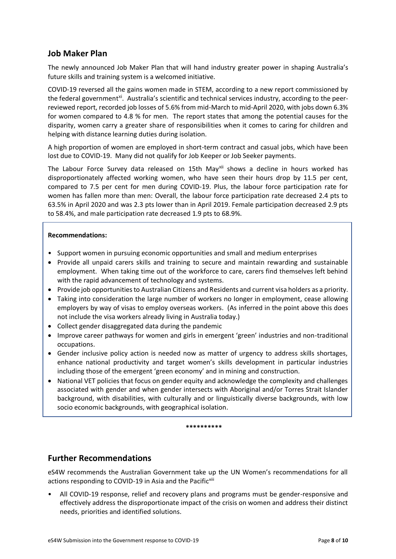# **Job Maker Plan**

The newly announced Job Maker Plan that will hand industry greater power in shaping Australia's future skills and training system is a welcomed initiative.

COVID-19 reversed all the gains women made in STEM, according to a new report commissioned by the federal government<sup>xi</sup>. Australia's scientific and technical services industry, according to the peerreviewed report, recorded job losses of 5.6% from mid-March to mid-April 2020, with jobs down 6.3% for women compared to 4.8 % for men. The report states that among the potential causes for the disparity, women carry a greater share of responsibilities when it comes to caring for children and helping with distance learning duties during isolation.

A high proportion of women are employed in short-term contract and casual jobs, which have been lost due to COVID-19. Many did not qualify for Job Keeper or Job Seeker payments.

The Labour Force Survey data released on 15th May<sup>xii</sup> shows a decline in hours worked has disproportionately affected working women, who have seen their hours drop by 11.5 per cent, compared to 7.5 per cent for men during COVID-19. Plus, the labour force participation rate for women has fallen more than men: Overall, the labour force participation rate decreased 2.4 pts to 63.5% in April 2020 and was 2.3 pts lower than in April 2019. Female participation decreased 2.9 pts to 58.4%, and male participation rate decreased 1.9 pts to 68.9%.

### **Recommendations:**

- Support women in pursuing economic opportunities and small and medium enterprises
- Provide all unpaid carers skills and training to secure and maintain rewarding and sustainable employment. When taking time out of the workforce to care, carers find themselves left behind with the rapid advancement of technology and systems.
- Provide job opportunities to Australian Citizens and Residents and current visa holders as a priority.
- Taking into consideration the large number of workers no longer in employment, cease allowing employers by way of visas to employ overseas workers. (As inferred in the point above this does not include the visa workers already living in Australia today.)
- Collect gender disaggregated data during the pandemic
- Improve career pathways for women and girls in emergent 'green' industries and non-traditional occupations.
- Gender inclusive policy action is needed now as matter of urgency to address skills shortages, enhance national productivity and target women's skills development in particular industries including those of the emergent 'green economy' and in mining and construction.
- National VET policies that focus on gender equity and acknowledge the complexity and challenges associated with gender and when gender intersects with Aboriginal and/or Torres Strait Islander background, with disabilities, with culturally and or linguistically diverse backgrounds, with low socio economic backgrounds, with geographical isolation.

#### **\*\*\*\*\*\*\*\*\*\***

### **Further Recommendations**

eS4W recommends the Australian Government take up the UN Women's recommendations for all actions responding to COVID-19 in Asia and the Pacific<sup>xiii</sup>

• All COVID-19 response, relief and recovery plans and programs must be gender-responsive and effectively address the disproportionate impact of the crisis on women and address their distinct needs, priorities and identified solutions.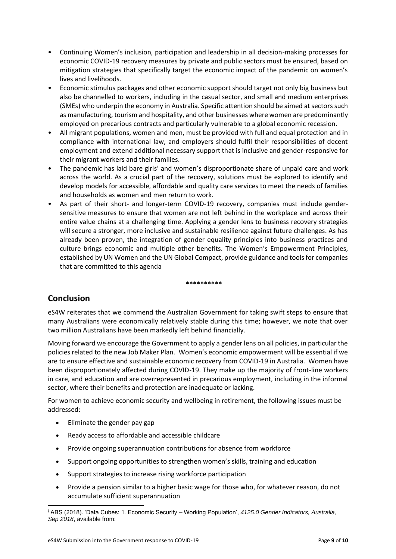- Continuing Women's inclusion, participation and leadership in all decision-making processes for economic COVID-19 recovery measures by private and public sectors must be ensured, based on mitigation strategies that specifically target the economic impact of the pandemic on women's lives and livelihoods.
- Economic stimulus packages and other economic support should target not only big business but also be channelled to workers, including in the casual sector, and small and medium enterprises (SMEs) who underpin the economy in Australia. Specific attention should be aimed at sectors such as manufacturing, tourism and hospitality, and other businesses where women are predominantly employed on precarious contracts and particularly vulnerable to a global economic recession.
- All migrant populations, women and men, must be provided with full and equal protection and in compliance with international law, and employers should fulfil their responsibilities of decent employment and extend additional necessary support that is inclusive and gender-responsive for their migrant workers and their families.
- The pandemic has laid bare girls' and women's disproportionate share of unpaid care and work across the world. As a crucial part of the recovery, solutions must be explored to identify and develop models for accessible, affordable and quality care services to meet the needs of families and households as women and men return to work.
- As part of their short- and longer-term COVID-19 recovery, companies must include gendersensitive measures to ensure that women are not left behind in the workplace and across their entire value chains at a challenging time. Applying a gender lens to business recovery strategies will secure a stronger, more inclusive and sustainable resilience against future challenges. As has already been proven, the integration of gender equality principles into business practices and culture brings economic and multiple other benefits. The Women's Empowerment Principles, established by UN Women and the UN Global Compact, provide guidance and tools for companies that are committed to this agenda

**\*\*\*\*\*\*\*\*\*\***

# **Conclusion**

eS4W reiterates that we commend the Australian Government for taking swift steps to ensure that many Australians were economically relatively stable during this time; however, we note that over two million Australians have been markedly left behind financially.

Moving forward we encourage the Government to apply a gender lens on all policies, in particular the policies related to the new Job Maker Plan. Women's economic empowerment will be essential if we are to ensure effective and sustainable economic recovery from COVID-19 in Australia. Women have been disproportionately affected during COVID-19. They make up the majority of front-line workers in care, and education and are overrepresented in precarious employment, including in the informal sector, where their benefits and protection are inadequate or lacking.

For women to achieve economic security and wellbeing in retirement, the following issues must be addressed:

- Eliminate the gender pay gap
- Ready access to affordable and accessible childcare
- Provide ongoing superannuation contributions for absence from workforce
- Support ongoing opportunities to strengthen women's skills, training and education
- Support strategies to increase rising workforce participation
- Provide a pension similar to a higher basic wage for those who, for whatever reason, do not accumulate sufficient superannuation

<sup>i</sup> ABS (2018). 'Data Cubes: 1. Economic Security – Working Population', *4125.0 Gender Indicators, Australia, Sep 2018*, available from: